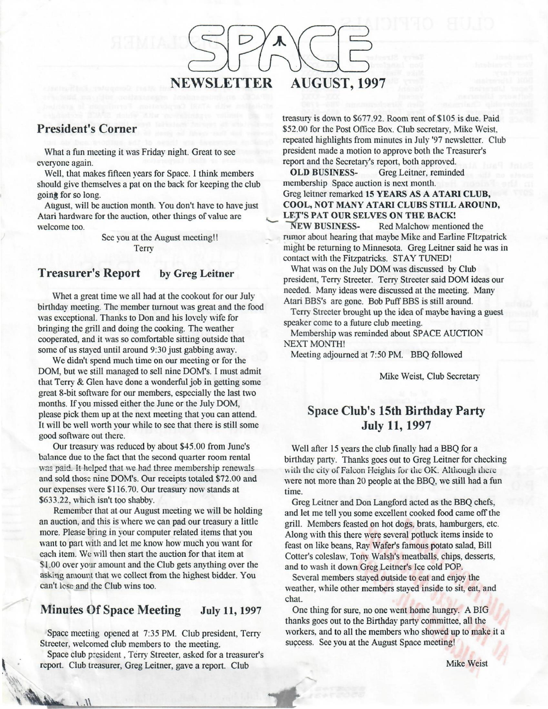

### **President's Corner**

What a fun meeting it was Friday night. Great to see everyone again.

Well, that makes fifteen years for Space. I think members should give themselves a pat on the back for keeping the club going for so long.

August, will be auction month. You don't have to have just Atari hardware for the auction, other things of value are welcome too.

> See you at the August meeting!! **Terry**

#### **Treasurer's Report by Greg Leitner**

Whet a great time we all had at the cookout for our July birthday meeting. The member turnout was great and the food was exceptional. Thanks to Don and his lovely wife for bringing the grill and doing the cooking. The weather cooperated, and it was so comfortable sitting outside that some of us stayed until around 9:30 just gabbing away.

We didn't spend much time on our meeting or for the DOM, but we still managed to sell nine DOM's. I must admit that Terry & Glen have done a wonderful job in getting some great 8-bit software for our members, especially the last two months. If you missed either the June or the July **DOM,**  please pick them up at the next meeting that you can attend. It will be well worth your while to see that there is still some good software out there.

Our treasury was reduced by about \$45.00 from June's balance due to the fact that the second quarter room rental was paid. It helped that we had three membership renewals and sold those nine DOM's. Our receipts totaled \$72.00 and our expenses were \$116.70. Our treasury now stands at \$633.22, which isn't too shabby.

Remember that at our August meeting we will be holding an auction, and this is where we can pad our treasury a little more. Please bring in your computer related items that you want to part with and let me know how much you want for each item. We will then start the auction for that item at \$1.00 over your amount and the Club gets anything over the asking amount that we collect from the highest bidder. You can't lose and the Club wins too.

### Minutes Of Space Meeting July 11, 1997

Space meeting opened at 7:35 PM. Club president, Terry Streeter, welcomed club members to the meeting.

Space club p:esident , Terry Streeter, asked for a treasurer's report. Club treasurer, Greg Leitner, gave a report. Club

treasury is down to \$677.92. Room rent of \$105 is due. Paid \$52.00 for the Post Office Box. Club secretary, Mike Weist. repeated highlights from minutes in July '97 newsletter. Club president made a motion to approve both the Treasurer's report and the Secretary's report, both approved.

**OLD BUSINESS-** Greg Leitner, reminded membership Space auction is next month. Greg leitner remarked **15 YEARS AS A ATARI CLUB, COOL, NOT MANY ATARI CLUBS STILL AROUND, LET'S PAT OUR SELVES ON THE BACK!**<br>NEW BUSINESS-Red Malchow mentio

**Red Malchow mentioned the** rumor about hearing that maybe Mike and Earline Fitzpatrick might be returning to Minnesota. Greg Leitner said he was in contact with the Fitzpatricks. STAY TUNED!

What was on the July DOM was discussed by Club president, Terry Streeter. Terry Streeter said DOM ideas our needed. Many ideas were discussed at the meeting. Many Atari BBS's are gone. Bob Puff BBS is still around.

Terry Streeter brought up the idea of maybe having a guest speaker come to a future club meeting.

Membership was reminded about SPACE AUCTION NEXT MONTH!

Meeting adjourned at 7:50 PM. BBQ followed

Mike Weist, Club Secretary

## **Space Club's 15th Birthday Party**  July 11, 1997

Well after 15 years the club finally had a BBQ for a birthday party. Thanks goes out to Greg Leitner for checking with the city of Falcon Heights for the OK. Although there were not more than 20 people at the BBQ, we still had a fun time.

Greg Leitner and Don Langford acted as the BBQ chefs, and let me tell you some excellent cooked food came off the grill. Members feasted on hot dogs, brats, hamburgers, etc. Along with this there were several potluck items inside to feast on like beans, Ray Wafer's famous potato salad, Bill Cotter's coleslaw, Tony Walsh's meatballs, chips, desserts, and to wash it down Greg Leitner's Ice cold POP.

Several members stayed outside to eat and enjoy the weather, while other members stayed inside to sit, eat, and chat.

One thing for sure, no one went home hungry. A BIG thanks goes out to the Birthday party committee, all the workers. and to all the members who showed up to make it a success. See you at the August Space meeting!

Mike Weist